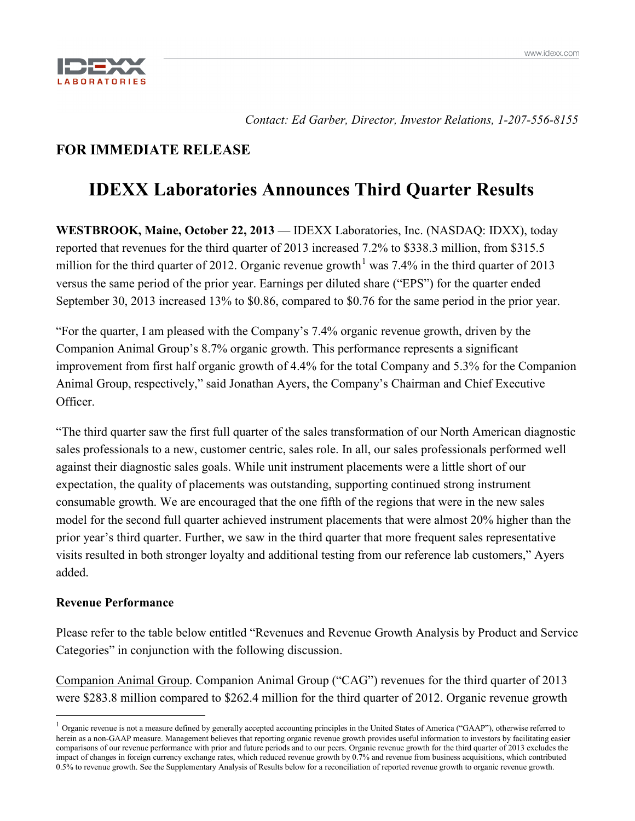

*Contact: Ed Garber, Director, Investor Relations, 1-207-556-8155*

# **FOR IMMEDIATE RELEASE**

# **IDEXX Laboratories Announces Third Quarter Results**

**WESTBROOK, Maine, October 22, 2013** — IDEXX Laboratories, Inc. (NASDAQ: IDXX), today reported that revenues for the third quarter of 2013 increased 7.2% to \$338.3 million, from \$315.5 million for the third quarter of 20[1](#page-0-0)2. Organic revenue growth<sup>1</sup> was 7.4% in the third quarter of 2013 versus the same period of the prior year. Earnings per diluted share ("EPS") for the quarter ended September 30, 2013 increased 13% to \$0.86, compared to \$0.76 for the same period in the prior year.

"For the quarter, I am pleased with the Company's 7.4% organic revenue growth, driven by the Companion Animal Group's 8.7% organic growth. This performance represents a significant improvement from first half organic growth of 4.4% for the total Company and 5.3% for the Companion Animal Group, respectively," said Jonathan Ayers, the Company's Chairman and Chief Executive Officer.

"The third quarter saw the first full quarter of the sales transformation of our North American diagnostic sales professionals to a new, customer centric, sales role. In all, our sales professionals performed well against their diagnostic sales goals. While unit instrument placements were a little short of our expectation, the quality of placements was outstanding, supporting continued strong instrument consumable growth. We are encouraged that the one fifth of the regions that were in the new sales model for the second full quarter achieved instrument placements that were almost 20% higher than the prior year's third quarter. Further, we saw in the third quarter that more frequent sales representative visits resulted in both stronger loyalty and additional testing from our reference lab customers," Ayers added.

### **Revenue Performance**

Please refer to the table below entitled "Revenues and Revenue Growth Analysis by Product and Service Categories" in conjunction with the following discussion.

Companion Animal Group . Companion Animal Group ("CAG") revenues for the third quarter of 2013 were \$283.8 million compared to \$262.4 million for the third quarter of 2012. Organic revenue growth

<span id="page-0-0"></span> <sup>1</sup> Organic revenue is not a measure defined by generally accepted accounting principles in the United States of America ("GAAP"), otherwise referred to herein as a non-GAAP measure. Management believes that reporting organic revenue growth provides useful information to investors by facilitating easier comparisons of our revenue performance with prior and future periods and to our peers. Organic revenue growth for the third quarter of 2013 excludes the impact of changes in foreign currency exchange rates, which reduced revenue growth by 0.7% and revenue from business acquisitions, which contributed 0.5% to revenue growth. See the Supplementary Analysis of Results below for a reconciliation of reported revenue growth to organic revenue growth.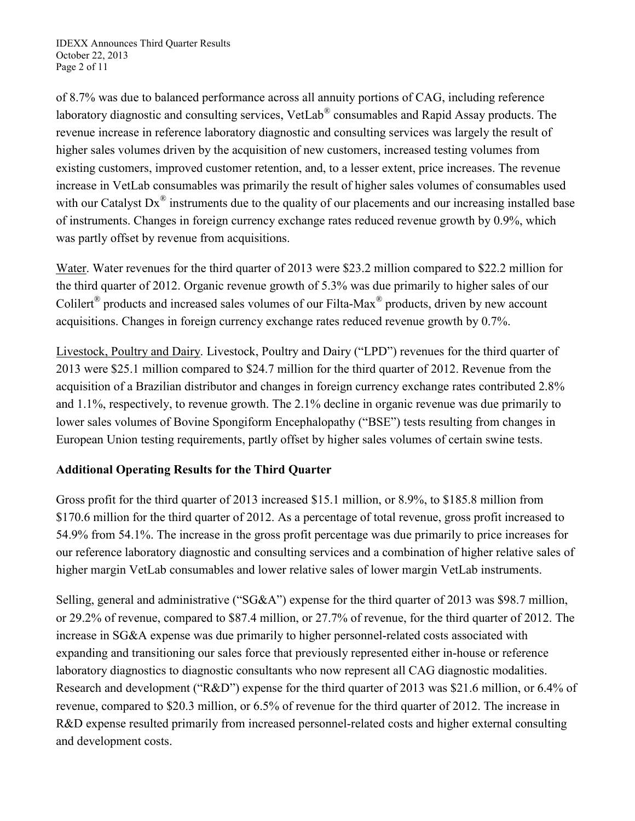of 8.7% was due to balanced performance across all annuity portions of CAG, including reference laboratory diagnostic and consulting services, VetLab<sup>®</sup> consumables and Rapid Assay products. The revenue increase in reference laboratory diagnostic and consulting services was largely the result of higher sales volumes driven by the acquisition of new customers, increased testing volumes from existing customers, improved customer retention, and, to a lesser extent, price increases. The revenue increase in VetLab consumables was primarily the result of higher sales volumes of consumables used with our Catalyst  $Dx^{\mathcal{R}}$  instruments due to the quality of our placements and our increasing installed base of instruments. Changes in foreign currency exchange rates reduced revenue growth by 0.9%, which was partly offset by revenue from acquisitions.

Water. Water revenues for the third quarter of 2013 were \$23.2 million compared to \$22.2 million for the third quarter of 2012. Organic revenue growth of 5.3% was due primarily to higher sales of our Colilert® products and increased sales volumes of our Filta-Max® products, driven by new account acquisitions. Changes in foreign currency exchange rates reduced revenue growth by 0.7%.

Livestock, Poultry and Dairy. Livestock, Poultry and Dairy ("LPD") revenues for the third quarter of 2013 were \$25.1 million compared to \$24.7 million for the third quarter of 2012. Revenue from the acquisition of a Brazilian distributor and changes in foreign currency exchange rates contributed 2.8% and 1.1%, respectively, to revenue growth. The 2.1% decline in organic revenue was due primarily to lower sales volumes of Bovine Spongiform Encephalopathy ("BSE") tests resulting from changes in European Union testing requirements, partly offset by higher sales volumes of certain swine tests.

## **Additional Operating Results for the Third Quarter**

Gross profit for the third quarter of 2013 increased \$15.1 million, or 8.9%, to \$185.8 million from \$170.6 million for the third quarter of 2012. As a percentage of total revenue, gross profit increased to 54.9% from 54.1%. The increase in the gross profit percentage was due primarily to price increases for our reference laboratory diagnostic and consulting services and a combination of higher relative sales of higher margin VetLab consumables and lower relative sales of lower margin VetLab instruments.

Selling, general and administrative ("SG&A") expense for the third quarter of 2013 was \$98.7 million, or 29.2% of revenue, compared to \$87.4 million, or 27.7% of revenue, for the third quarter of 2012. The increase in SG&A expense was due primarily to higher personnel-related costs associated with expanding and transitioning our sales force that previously represented either in-house or reference laboratory diagnostics to diagnostic consultants who now represent all CAG diagnostic modalities. Research and development ("R&D") expense for the third quarter of 2013 was \$21.6 million, or 6.4% of revenue, compared to \$20.3 million, or 6.5% of revenue for the third quarter of 2012. The increase in R&D expense resulted primarily from increased personnel-related costs and higher external consulting and development costs.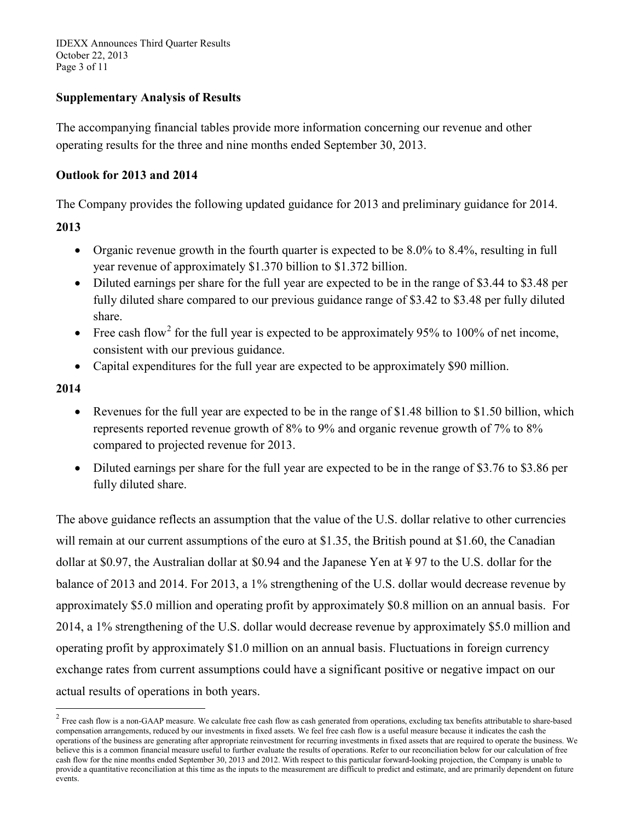IDEXX Announces Third Quarter Results October 22, 2013 Page 3 of 11

### **Supplementary Analysis of Results**

The accompanying financial tables provide more information concerning our revenue and other operating results for the three and nine months ended September 30, 2013.

### **Outlook for 2013 and 2014**

The Company provides the following updated guidance for 2013 and preliminary guidance for 2014.

### **2013**

- Organic revenue growth in the fourth quarter is expected to be 8.0% to 8.4%, resulting in full year revenue of approximately \$1.370 billion to \$1.372 billion.
- Diluted earnings per share for the full year are expected to be in the range of \$3.44 to \$3.48 per fully diluted share compared to our previous guidance range of \$3.42 to \$3.48 per fully diluted share.
- Free cash flow<sup>[2](#page-2-0)</sup> for the full year is expected to be approximately 95% to 100% of net income, consistent with our previous guidance.
- Capital expenditures for the full year are expected to be approximately \$90 million.

**2014** 

- Revenues for the full year are expected to be in the range of \$1.48 billion to \$1.50 billion, which represents reported revenue growth of 8% to 9% and organic revenue growth of 7% to 8% compared to projected revenue for 2013.
- Diluted earnings per share for the full year are expected to be in the range of \$3.76 to \$3.86 per fully diluted share.

The above guidance reflects an assumption that the value of the U.S. dollar relative to other currencies will remain at our current assumptions of the euro at \$1.35, the British pound at \$1.60, the Canadian dollar at \$0.97, the Australian dollar at \$0.94 and the Japanese Yen at ¥ 97 to the U.S. dollar for the balance of 2013 and 2014. For 2013, a 1% strengthening of the U.S. dollar would decrease revenue by approximately \$5.0 million and operating profit by approximately \$0.8 million on an annual basis. For 2014, a 1% strengthening of the U.S. dollar would decrease revenue by approximately \$5.0 million and operating profit by approximately \$1.0 million on an annual basis. Fluctuations in foreign currency exchange rates from current assumptions could have a significant positive or negative impact on our actual results of operations in both years.

<span id="page-2-0"></span> $2$  Free cash flow is a non-GAAP measure. We calculate free cash flow as cash generated from operations, excluding tax benefits attributable to share-based compensation arrangements, reduced by our investments in fixed assets. We feel free cash flow is a useful measure because it indicates the cash the operations of the business are generating after appropriate reinvestment for recurring investments in fixed assets that are required to operate the business. We believe this is a common financial measure useful to further evaluate the results of operations. Refer to our reconciliation below for our calculation of free cash flow for the nine months ended September 30, 2013 and 2012. With respect to this particular forward-looking projection, the Company is unable to provide a quantitative reconciliation at this time as the inputs to the measurement are difficult to predict and estimate, and are primarily dependent on future events.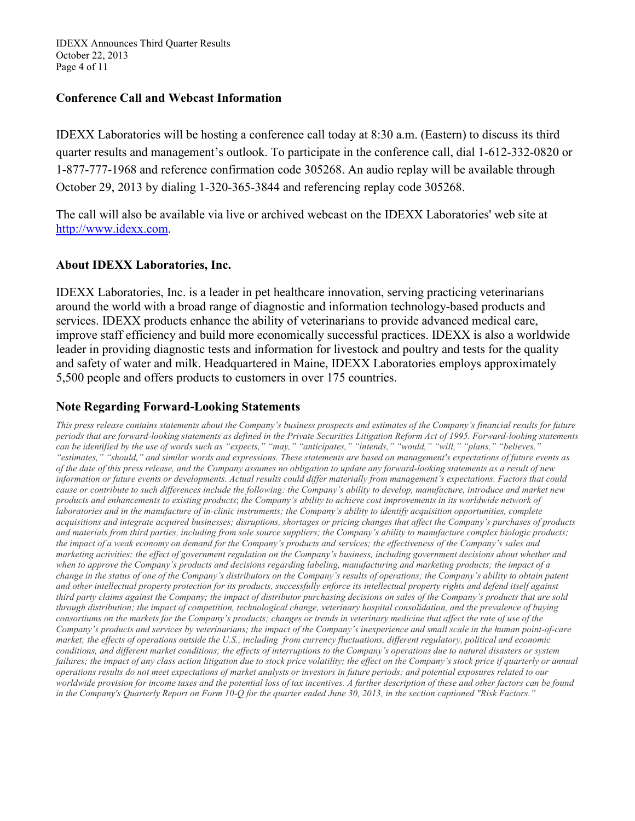IDEXX Announces Third Quarter Results October 22, 2013 Page 4 of 11

### **Conference Call and Webcast Information**

IDEXX Laboratories will be hosting a conference call today at 8:30 a.m. (Eastern) to discuss its third quarter results and management's outlook. To participate in the conference call, dial 1-612-332-0820 or 1-877-777-1968 and reference confirmation code 305268. An audio replay will be available through October 29, 2013 by dialing 1-320-365-3844 and referencing replay code 305268.

The call will also be available via live or archived webcast on the IDEXX Laboratories' web site at [http://www.idexx.com.](http://www.idexx.com/)

### **About IDEXX Laboratories, Inc.**

IDEXX Laboratories, Inc. is a leader in pet healthcare innovation, serving practicing veterinarians around the world with a broad range of diagnostic and information technology-based products and services. IDEXX products enhance the ability of veterinarians to provide advanced medical care, improve staff efficiency and build more economically successful practices. IDEXX is also a worldwide leader in providing diagnostic tests and information for livestock and poultry and tests for the quality and safety of water and milk. Headquartered in Maine, IDEXX Laboratories employs approximately 5,500 people and offers products to customers in over 175 countries.

### **Note Regarding Forward-Looking Statements**

*This press release contains statements about the Company's business prospects and estimates of the Company's financial results for future periods that are forward-looking statements as defined in the Private Securities Litigation Reform Act of 1995. Forward-looking statements can be identified by the use of words such as "expects," "may," "anticipates," "intends," "would," "will," "plans," "believes," "* estimates," "should," and similar words and expressions. These statements are based on management's expectations of future events as *of the date of this press release, and the Company assumes no obligation to update any forward-looking statements as a result of new information or future events or developments. Actual results could differ materially from management's expectations. Factors that could cause or contribute to such differences include the following: the Company's ability to develop, manufacture, introduce and market new products and enhancements to existing products*; *the Company's ability to achieve cost improvements in its worldwide network of laboratories and in the manufacture of in-clinic instruments; the Company's ability to identify acquisition opportunities, complete acquisitions and integrate acquired businesses; disruptions, shortages or pricing changes that affect the Company's purchases of products*  and materials from third parties, including from sole source suppliers; the Company's ability to manufacture complex biologic products; *the impact of a weak economy on demand for the Company's products and services; the effectiveness of the Company's sales and marketing activities; the effect of government regulation on the Company's business, including government decisions about whether and when to approve the Company's products and decisions regarding labeling, manufacturing and marketing products; the impact of a change in the status of one of the Company's distributors on the Company's results of operations; the Company's ability to obtain patent and other intellectual property protection for its products, successfully enforce its intellectual property rights and defend itself against third party claims against the Company; the impact of distributor purchasing decisions on sales of the Company's products that are sold through distribution; the impact of competition, technological change, veterinary hospital consolidation, and the prevalence of buying consortiums on the markets for the Company's products; changes or trends in veterinary medicine that affect the rate of use of the Company's products and services by veterinarians; the impact of the Company's inexperience and small scale in the human point-of-care market; the effects of operations outside the U.S., including from currency fluctuations, different regulatory, political and economic conditions, and different market conditions; the effects of interruptions to the Company's operations due to natural disasters or system failures; the impact of any class action litigation due to stock price volatility; the effect on the Company's stock price if quarterly or annual operations results do not meet expectations of market analysts or investors in future periods; and potential exposures related to our worldwide provision for income taxes and the potential loss of tax incentives. A further description of these and other factors can be found in the Company's Quarterly Report on Form 10-Q for the quarter ended June 30, 2013, in the section captioned "Risk Factors."*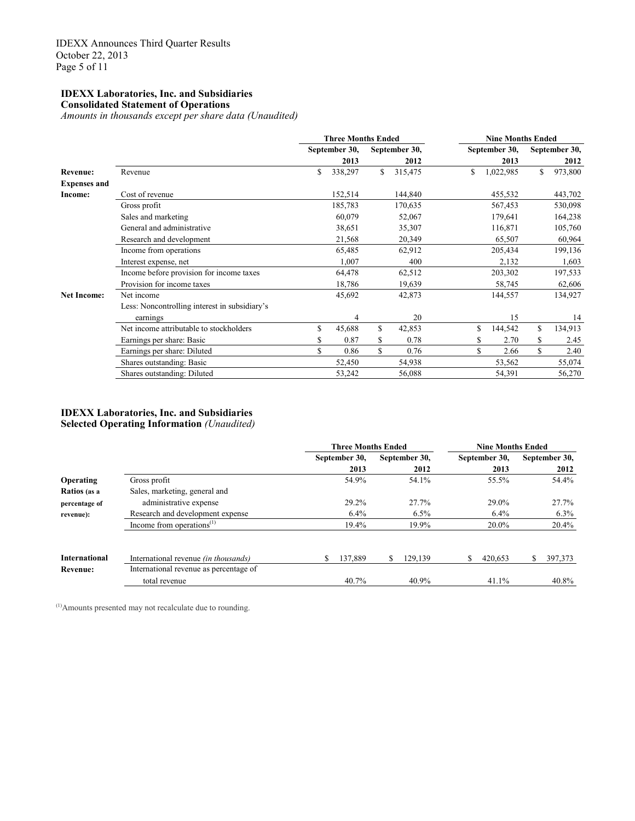#### **IDEXX Laboratories, Inc. and Subsidiaries Consolidated Statement of Operations**

*Amounts in thousands except per share data (Unaudited)*

|                     |                                               | <b>Three Months Ended</b><br><b>Nine Months Ended</b> |               |    |               |               |           |               |  |
|---------------------|-----------------------------------------------|-------------------------------------------------------|---------------|----|---------------|---------------|-----------|---------------|--|
|                     |                                               |                                                       | September 30, |    | September 30, | September 30, |           | September 30, |  |
|                     |                                               |                                                       | 2013          |    | 2012          |               | 2013      | 2012          |  |
| <b>Revenue:</b>     | Revenue                                       | \$                                                    | 338,297       | S. | 315,475       | \$            | 1,022,985 | \$<br>973,800 |  |
| <b>Expenses and</b> |                                               |                                                       |               |    |               |               |           |               |  |
| Income:             | Cost of revenue                               |                                                       | 152,514       |    | 144,840       |               | 455,532   | 443,702       |  |
|                     | Gross profit                                  |                                                       | 185,783       |    | 170,635       |               | 567,453   | 530,098       |  |
|                     | Sales and marketing                           |                                                       | 60,079        |    | 52,067        |               | 179,641   | 164,238       |  |
|                     | General and administrative                    |                                                       | 38,651        |    | 35,307        |               | 116,871   | 105,760       |  |
|                     | Research and development                      |                                                       | 21,568        |    | 20,349        |               | 65,507    | 60,964        |  |
|                     | Income from operations                        |                                                       | 65,485        |    | 62,912        |               | 205,434   | 199,136       |  |
|                     | Interest expense, net                         |                                                       | 1,007         |    | 400           |               | 2,132     | 1,603         |  |
|                     | Income before provision for income taxes      |                                                       | 64,478        |    | 62,512        |               | 203,302   | 197,533       |  |
|                     | Provision for income taxes                    |                                                       | 18,786        |    | 19,639        |               | 58,745    | 62,606        |  |
| <b>Net Income:</b>  | Net income                                    |                                                       | 45,692        |    | 42,873        |               | 144,557   | 134,927       |  |
|                     | Less: Noncontrolling interest in subsidiary's |                                                       |               |    |               |               |           |               |  |
|                     | earnings                                      |                                                       | 4             |    | 20            |               | 15        | 14            |  |
|                     | Net income attributable to stockholders       | \$                                                    | 45,688        | \$ | 42,853        | \$            | 144,542   | \$<br>134,913 |  |
|                     | Earnings per share: Basic                     | \$                                                    | 0.87          | \$ | 0.78          | \$            | 2.70      | \$<br>2.45    |  |
|                     | Earnings per share: Diluted                   | \$                                                    | 0.86          | \$ | 0.76          | S             | 2.66      | \$<br>2.40    |  |
|                     | Shares outstanding: Basic                     |                                                       | 52,450        |    | 54,938        |               | 53,562    | 55,074        |  |
|                     | Shares outstanding: Diluted                   |                                                       | 53,242        |    | 56,088        |               | 54,391    | 56,270        |  |

#### **IDEXX Laboratories, Inc. and Subsidiaries Selected Operating Information** *(Unaudited)*

|                      |                                             | <b>Three Months Ended</b> |               | <b>Nine Months Ended</b> |               |  |  |  |
|----------------------|---------------------------------------------|---------------------------|---------------|--------------------------|---------------|--|--|--|
|                      |                                             | September 30,             | September 30, | September 30,            | September 30, |  |  |  |
|                      |                                             | 2013                      | 2012          | 2013                     | 2012          |  |  |  |
| Operating            | Gross profit                                | 54.9%                     | 54.1%         | 55.5%                    | 54.4%         |  |  |  |
| Ratios (as a         | Sales, marketing, general and               |                           |               |                          |               |  |  |  |
| percentage of        | administrative expense                      | 29.2%                     | 27.7%         | 29.0%                    | 27.7%         |  |  |  |
| revenue):            | Research and development expense            | 6.4%                      | $6.5\%$       | 6.4%                     | $6.3\%$       |  |  |  |
|                      | Income from operations $(1)$                | 19.4%                     | 19.9%         | 20.0%                    | 20.4%         |  |  |  |
| <b>International</b> | International revenue <i>(in thousands)</i> | 137,889<br>S              | 129.139<br>S  | 420,653<br>S.            | 397,373<br>\$ |  |  |  |
| <b>Revenue:</b>      | International revenue as percentage of      |                           |               |                          |               |  |  |  |
|                      | total revenue                               | 40.7%                     | 40.9%         | 41.1%                    | 40.8%         |  |  |  |

(1) Amounts presented may not recalculate due to rounding.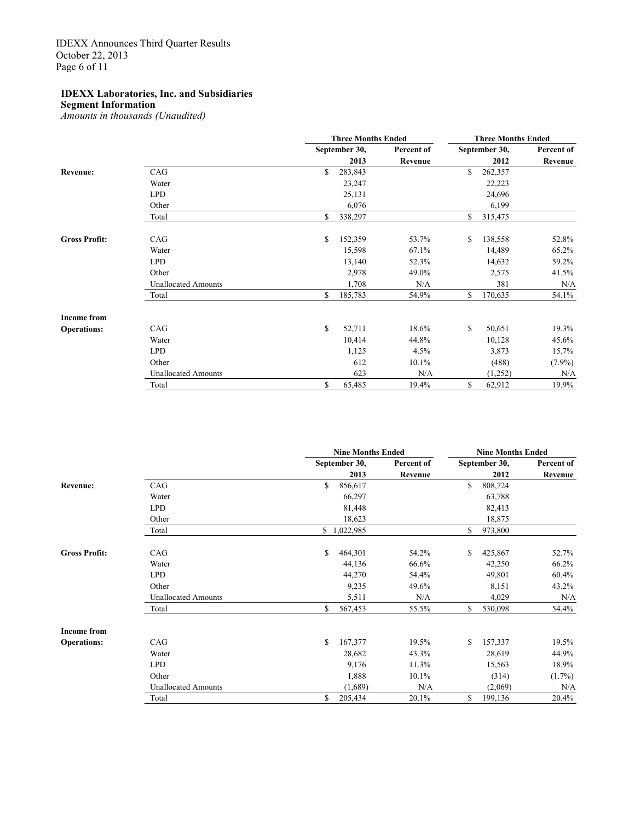**Segment Information**

*Amounts in thousands (Unaudited)*

|                      |                            | <b>Three Months Ended</b> |            | <b>Three Months Ended</b> |               |            |  |  |
|----------------------|----------------------------|---------------------------|------------|---------------------------|---------------|------------|--|--|
|                      |                            | September 30,             | Percent of |                           | September 30, | Percent of |  |  |
|                      |                            | 2013                      | Revenue    |                           | 2012          | Revenue    |  |  |
| <b>Revenue:</b>      | CAG                        | \$<br>283,843             |            | \$                        | 262,357       |            |  |  |
|                      | Water                      | 23,247                    |            |                           | 22,223        |            |  |  |
|                      | <b>LPD</b>                 | 25,131                    |            |                           | 24,696        |            |  |  |
|                      | Other                      | 6,076                     |            |                           | 6,199         |            |  |  |
|                      | Total                      | \$<br>338,297             |            | \$                        | 315,475       |            |  |  |
| <b>Gross Profit:</b> | CAG                        | \$<br>152,359             | 53.7%      | \$                        | 138,558       | 52.8%      |  |  |
|                      | Water                      | 15,598                    | 67.1%      |                           | 14,489        | 65.2%      |  |  |
|                      | <b>LPD</b>                 | 13,140                    | 52.3%      |                           | 14,632        | 59.2%      |  |  |
|                      | Other                      | 2,978                     | 49.0%      |                           | 2,575         | 41.5%      |  |  |
|                      | <b>Unallocated Amounts</b> | 1,708                     | N/A        |                           | 381           | N/A        |  |  |
|                      | Total                      | \$<br>185,783             | 54.9%      | \$                        | 170,635       | 54.1%      |  |  |
| <b>Income from</b>   |                            |                           |            |                           |               |            |  |  |
| <b>Operations:</b>   | CAG                        | \$<br>52,711              | 18.6%      | \$                        | 50,651        | 19.3%      |  |  |
|                      | Water                      | 10,414                    | 44.8%      |                           | 10,128        | 45.6%      |  |  |
|                      | <b>LPD</b>                 | 1,125                     | 4.5%       |                           | 3,873         | 15.7%      |  |  |
|                      | Other                      | 612                       | 10.1%      |                           | (488)         | $(7.9\%)$  |  |  |
|                      | <b>Unallocated Amounts</b> | 623                       | N/A        |                           | (1,252)       | N/A        |  |  |
|                      | Total                      | \$<br>65,485              | 19.4%      | \$                        | 62,912        | 19.9%      |  |  |

|                      |                            | <b>Nine Months Ended</b> |            | <b>Nine Months Ended</b> |            |  |  |  |
|----------------------|----------------------------|--------------------------|------------|--------------------------|------------|--|--|--|
|                      |                            | September 30,            | Percent of | September 30,            | Percent of |  |  |  |
|                      |                            | 2013                     | Revenue    | 2012                     | Revenue    |  |  |  |
| <b>Revenue:</b>      | CAG                        | \$<br>856,617            |            | \$<br>808,724            |            |  |  |  |
|                      | Water                      | 66,297                   |            | 63,788                   |            |  |  |  |
|                      | <b>LPD</b>                 | 81,448                   |            | 82,413                   |            |  |  |  |
|                      | Other                      | 18,623                   |            | 18,875                   |            |  |  |  |
|                      | Total                      | \$1,022,985              |            | \$<br>973,800            |            |  |  |  |
| <b>Gross Profit:</b> | CAG                        | \$<br>464,301            | 54.2%      | \$<br>425,867            | 52.7%      |  |  |  |
|                      | Water                      | 44,136                   | 66.6%      | 42,250                   | 66.2%      |  |  |  |
|                      | <b>LPD</b>                 | 44,270                   | 54.4%      | 49,801                   | 60.4%      |  |  |  |
|                      | Other                      | 9,235                    | 49.6%      | 8,151                    | 43.2%      |  |  |  |
|                      | <b>Unallocated Amounts</b> | 5,511                    | N/A        | 4,029                    | N/A        |  |  |  |
|                      | Total                      | \$<br>567,453            | 55.5%      | \$<br>530,098            | 54.4%      |  |  |  |
| <b>Income from</b>   |                            |                          |            |                          |            |  |  |  |
| <b>Operations:</b>   | CAG                        | \$<br>167,377            | 19.5%      | \$<br>157,337            | 19.5%      |  |  |  |
|                      | Water                      | 28,682                   | 43.3%      | 28,619                   | 44.9%      |  |  |  |
|                      | <b>LPD</b>                 | 9,176                    | 11.3%      | 15,563                   | 18.9%      |  |  |  |
|                      | Other                      | 1,888                    | 10.1%      | (314)                    | $(1.7\%)$  |  |  |  |
|                      | <b>Unallocated Amounts</b> | (1,689)                  | N/A        | (2,069)                  | N/A        |  |  |  |
|                      | Total                      | \$<br>205,434            | 20.1%      | \$<br>199,136            | 20.4%      |  |  |  |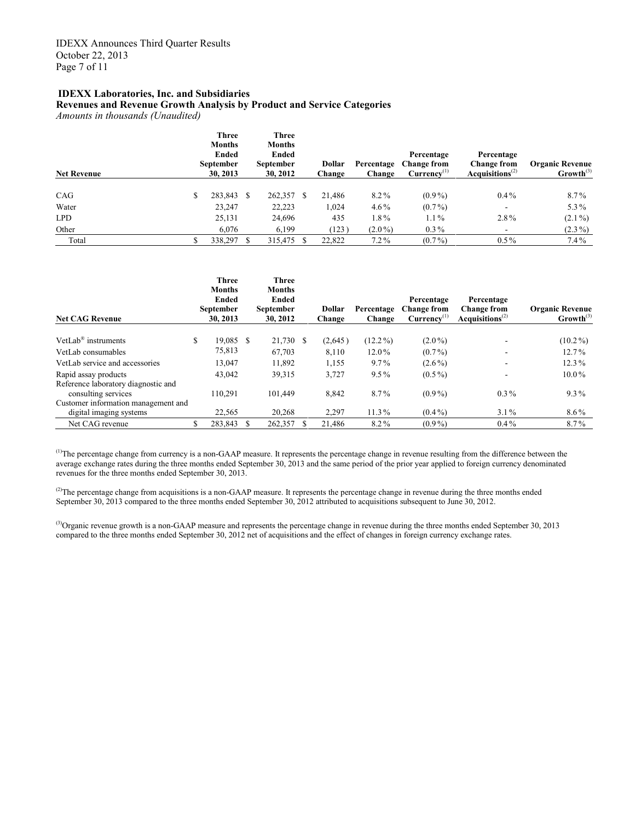**Revenues and Revenue Growth Analysis by Product and Service Categories**

*Amounts in thousands (Unaudited)*

| <b>Net Revenue</b> | Three<br><b>Months</b><br>Ended<br><b>September</b><br>30, 2013 | Three<br><b>Months</b><br>Ended<br><b>September</b><br>30, 2012 | Dollar<br>Change | Percentage<br>Change | Percentage<br><b>Change from</b><br>Currence <sup>(1)</sup> | Percentage<br><b>Change from</b><br>Acquisitions <sup><math>(2)</math></sup> | <b>Organic Revenue</b><br>$Growth^{(3)}$ |
|--------------------|-----------------------------------------------------------------|-----------------------------------------------------------------|------------------|----------------------|-------------------------------------------------------------|------------------------------------------------------------------------------|------------------------------------------|
|                    |                                                                 |                                                                 |                  |                      |                                                             |                                                                              |                                          |
| CAG                | 283,843 \$                                                      | 262,357 \$                                                      | 21,486           | 8.2%                 | $(0.9\%)$                                                   | $0.4\%$                                                                      | 8.7%                                     |
| Water              | 23,247                                                          | 22,223                                                          | 1,024            | $4.6\%$              | $(0.7\%)$                                                   | $\overline{\phantom{0}}$                                                     | 5.3%                                     |
| <b>LPD</b>         | 25,131                                                          | 24,696                                                          | 435              | 1.8%                 | $1.1\%$                                                     | 2.8%                                                                         | $(2.1\%)$                                |
| Other              | 6.076                                                           | 6.199                                                           | (123)            | $(2.0\%)$            | $0.3\%$                                                     | $\overline{\phantom{a}}$                                                     | $(2.3\%)$                                |
| Total              | 338,297                                                         | 315,475                                                         | 22,822           | $7.2\%$              | $(0.7\%)$                                                   | $0.5\%$                                                                      | $7.4\%$                                  |

| <b>Net CAG Revenue</b>                                         | <b>Three</b><br><b>Months</b><br>Ended<br><b>September</b><br>30, 2013 | <b>Three</b><br><b>Months</b><br>Ended<br>September<br>30, 2012 | Dollar<br>Change | Percentage<br>Change | Percentage<br><b>Change from</b><br>Currency <sup>(1)</sup> | Percentage<br><b>Change from</b><br>Acquisitions <sup>(2)</sup> | <b>Organic Revenue</b><br>$Growth^{(3)}$ |
|----------------------------------------------------------------|------------------------------------------------------------------------|-----------------------------------------------------------------|------------------|----------------------|-------------------------------------------------------------|-----------------------------------------------------------------|------------------------------------------|
|                                                                |                                                                        |                                                                 |                  |                      |                                                             |                                                                 |                                          |
| $VetLab^{\otimes}$ instruments                                 | \$<br>19,085 \$                                                        | 21,730 \$                                                       | (2,645)          | $(12.2\%)$           | $(2.0\%)$                                                   |                                                                 | $(10.2\%)$                               |
| VetLab consumables                                             | 75,813                                                                 | 67.703                                                          | 8,110            | 12.0%                | $(0.7\%)$                                                   | $\blacksquare$                                                  | 12.7%                                    |
| VetLab service and accessories                                 | 13,047                                                                 | 11,892                                                          | 1,155            | $9.7\%$              | $(2.6\%)$                                                   | ۰.                                                              | $12.3\%$                                 |
| Rapid assay products                                           | 43,042                                                                 | 39,315                                                          | 3,727            | $9.5\%$              | $(0.5\%)$                                                   | $\sim$                                                          | $10.0\%$                                 |
| Reference laboratory diagnostic and<br>consulting services     | 110,291                                                                | 101.449                                                         | 8,842            | 8.7%                 | $(0.9\%)$                                                   | $0.3\%$                                                         | $9.3\%$                                  |
| Customer information management and<br>digital imaging systems | 22,565                                                                 | 20,268                                                          | 2,297            | $11.3\%$             | $(0.4\%)$                                                   | $3.1\%$                                                         | $8.6\%$                                  |
| Net CAG revenue                                                | \$<br>283.843                                                          | 262,357                                                         | 21,486           | 8.2%                 | $(0.9\%)$                                                   | $0.4\%$                                                         | 8.7%                                     |

 $<sup>(1)</sup>$ The percentage change from currency is a non-GAAP measure. It represents the percentage change in revenue resulting from the difference between the</sup> average exchange rates during the three months ended September 30, 2013 and the same period of the prior year applied to foreign currency denominated revenues for the three months ended September 30, 2013.

 $^{(2)}$ The percentage change from acquisitions is a non-GAAP measure. It represents the percentage change in revenue during the three months ended September 30, 2013 compared to the three months ended September 30, 2012 attributed to acquisitions subsequent to June 30, 2012.

<sup>(3)</sup>Organic revenue growth is a non-GAAP measure and represents the percentage change in revenue during the three months ended September 30, 2013 compared to the three months ended September 30, 2012 net of acquisitions and the effect of changes in foreign currency exchange rates.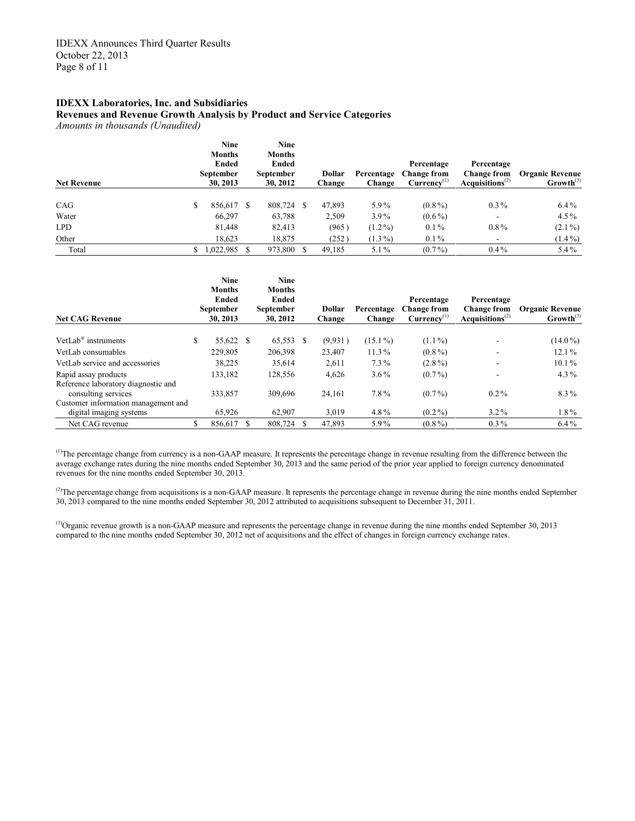**Revenues and Revenue Growth Analysis by Product and Service Categories**

*Amounts in thousands (Unaudited)* **Nine** 

| <b>Net Revenue</b> | <b>Nine</b><br><b>Months</b><br>Ended<br>September<br>30, 2013 |    | <b>Nine</b><br>Months<br>Ended<br>September<br>30, 2012 | <b>Dollar</b><br>Change | Percentage<br>Change | Percentage<br><b>Change from</b><br>Currence <sup>(1)</sup> | Percentage<br><b>Change from</b><br>Acquisitions <sup><math>(2)</math></sup> | <b>Organic Revenue</b><br>$Growth^{(3)}$ |
|--------------------|----------------------------------------------------------------|----|---------------------------------------------------------|-------------------------|----------------------|-------------------------------------------------------------|------------------------------------------------------------------------------|------------------------------------------|
| CAG                | \$<br>856,617                                                  | -8 | 808,724                                                 | 47,893                  | 5.9%                 | $(0.8\%)$                                                   | $0.3\%$                                                                      | $6.4\%$                                  |
|                    |                                                                |    |                                                         |                         |                      |                                                             |                                                                              |                                          |
| Water              | 66,297                                                         |    | 63,788                                                  | 2,509                   | 3.9%                 | $(0.6\%)$                                                   | -                                                                            | $4.5\%$                                  |
| <b>LPD</b>         | 81.448                                                         |    | 82,413                                                  | (965)                   | $(1.2\%)$            | $0.1\%$                                                     | $0.8\%$                                                                      | $(2.1\%)$                                |
| Other              | 18,623                                                         |    | 18,875                                                  | (252)                   | $(1.3\%)$            | $0.1\%$                                                     |                                                                              | $(1.4\%)$                                |
| Total              | ,022,985                                                       |    | 973,800                                                 | 49,185                  | $5.1\%$              | $(0.7\%)$                                                   | $0.4\%$                                                                      | 5.4%                                     |

| <b>Net CAG Revenue</b>                                         |    | <b>Nine</b><br><b>Months</b><br><b>Ended</b><br><b>September</b><br>30, 2013 |    | <b>Nine</b><br><b>Months</b><br>Ended<br><b>September</b><br>30, 2012 |    | <b>Dollar</b><br>Change | Percentage<br>Change | Percentage<br><b>Change from</b><br>Currency <sup>(1)</sup> | Percentage<br><b>Change from</b><br>Acquisitions <sup><math>(2)</math></sup> | <b>Organic Revenue</b><br>$Growth^{(3)}$ |
|----------------------------------------------------------------|----|------------------------------------------------------------------------------|----|-----------------------------------------------------------------------|----|-------------------------|----------------------|-------------------------------------------------------------|------------------------------------------------------------------------------|------------------------------------------|
|                                                                |    |                                                                              |    |                                                                       |    |                         |                      |                                                             |                                                                              |                                          |
| VetLab <sup>®</sup> instruments                                | \$ | 55,622                                                                       | -S | 65,553                                                                | -S | (9.931)                 | $(15.1\%)$           | $(1.1\%)$                                                   |                                                                              | $(14.0\%)$                               |
| VetLab consumables                                             |    | 229.805                                                                      |    | 206,398                                                               |    | 23,407                  | $11.3\%$             | $(0.8\%)$                                                   |                                                                              | 12.1%                                    |
| VetLab service and accessories                                 |    | 38.225                                                                       |    | 35,614                                                                |    | 2,611                   | $7.3\%$              | $(2.8\%)$                                                   | $\overline{\phantom{a}}$                                                     | $10.1\%$                                 |
| Rapid assay products                                           |    | 133,182                                                                      |    | 128,556                                                               |    | 4,626                   | $3.6\%$              | $(0.7\%)$                                                   |                                                                              | $4.3\%$                                  |
| Reference laboratory diagnostic and<br>consulting services     |    | 333,857                                                                      |    | 309,696                                                               |    | 24,161                  | 7.8%                 | $(0.7\%)$                                                   | $0.2\%$                                                                      | 8.3%                                     |
| Customer information management and<br>digital imaging systems |    | 65,926                                                                       |    | 62,907                                                                |    | 3,019                   | $4.8\%$              | $(0.2\%)$                                                   | $3.2\%$                                                                      | $1.8\%$                                  |
| Net CAG revenue                                                | S  | 856,617                                                                      | S  | 808,724                                                               |    | 47,893                  | 5.9%                 | $(0.8\%)$                                                   | $0.3\%$                                                                      | $6.4\%$                                  |

 $<sup>(1)</sup>$ The percentage change from currency is a non-GAAP measure. It represents the percentage change in revenue resulting from the difference between the</sup> average exchange rates during the nine months ended September 30, 2013 and the same period of the prior year applied to foreign currency denominated revenues for the nine months ended September 30, 2013.

 $^{(2)}$ The percentage change from acquisitions is a non-GAAP measure. It represents the percentage change in revenue during the nine months ended September 30, 2013 compared to the nine months ended September 30, 2012 attributed to acquisitions subsequent to December 31, 2011.

 $(3)$ Organic revenue growth is a non-GAAP measure and represents the percentage change in revenue during the nine months ended September 30, 2013 compared to the nine months ended September 30, 2012 net of acquisitions and the effect of changes in foreign currency exchange rates.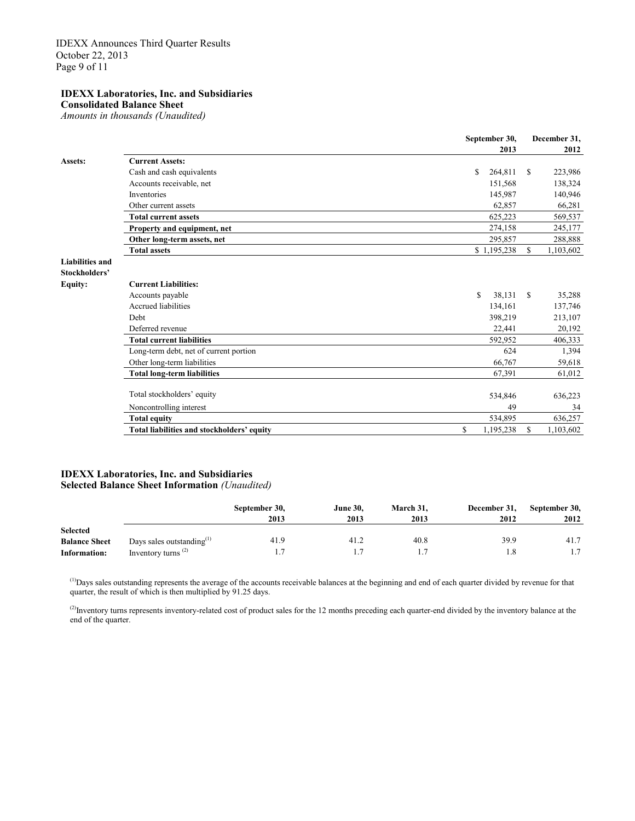**Consolidated Balance Sheet**

*Amounts in thousands (Unaudited)*

|                        |                                            | September 30,   | December 31,             |
|------------------------|--------------------------------------------|-----------------|--------------------------|
|                        |                                            | 2013            | 2012                     |
| Assets:                | <b>Current Assets:</b>                     |                 |                          |
|                        | Cash and cash equivalents                  | \$<br>264,811   | <sup>\$</sup><br>223,986 |
|                        | Accounts receivable, net                   | 151,568         | 138,324                  |
|                        | Inventories                                | 145,987         | 140,946                  |
|                        | Other current assets                       | 62,857          | 66,281                   |
|                        | <b>Total current assets</b>                | 625,223         | 569,537                  |
|                        | Property and equipment, net                | 274,158         | 245,177                  |
|                        | Other long-term assets, net                | 295,857         | 288,888                  |
|                        | <b>Total assets</b>                        | \$1,195,238     | 1,103,602<br>S.          |
| <b>Liabilities</b> and |                                            |                 |                          |
| Stockholders'          |                                            |                 |                          |
| Equity:                | <b>Current Liabilities:</b>                |                 |                          |
|                        | Accounts payable                           | \$<br>38,131    | <sup>\$</sup><br>35,288  |
|                        | <b>Accrued liabilities</b>                 | 134,161         | 137,746                  |
|                        | Debt                                       | 398,219         | 213,107                  |
|                        | Deferred revenue                           | 22,441          | 20,192                   |
|                        | <b>Total current liabilities</b>           | 592,952         | 406,333                  |
|                        | Long-term debt, net of current portion     | 624             | 1,394                    |
|                        | Other long-term liabilities                | 66,767          | 59,618                   |
|                        | <b>Total long-term liabilities</b>         | 67,391          | 61,012                   |
|                        | Total stockholders' equity                 | 534,846         | 636,223                  |
|                        | Noncontrolling interest                    | 49              | 34                       |
|                        | <b>Total equity</b>                        | 534,895         | 636,257                  |
|                        | Total liabilities and stockholders' equity | \$<br>1,195,238 | S<br>1,103,602           |
|                        |                                            |                 |                          |

#### **IDEXX Laboratories, Inc. and Subsidiaries Selected Balance Sheet Information** *(Unaudited)*

|                      |                              | September 30,<br>2013 | <b>June 30.</b><br>2013 | March 31.<br>2013 | December 31,<br>2012 | September 30,<br>2012 |
|----------------------|------------------------------|-----------------------|-------------------------|-------------------|----------------------|-----------------------|
| <b>Selected</b>      |                              |                       |                         |                   |                      |                       |
| <b>Balance Sheet</b> | Days sales outstanding $(1)$ | 41.9                  | 41.2                    | 40.8              | 39.9                 | 41.7                  |
| Information:         | Inventory turns $(2)$        |                       |                         |                   |                      |                       |

 $<sup>(1)</sup>$ Days sales outstanding represents the average of the accounts receivable balances at the beginning and end of each quarter divided by revenue for that</sup> quarter, the result of which is then multiplied by 91.25 days.

 $^{(2)}$  Inventory turns represents inventory-related cost of product sales for the 12 months preceding each quarter-end divided by the inventory balance at the end of the quarter.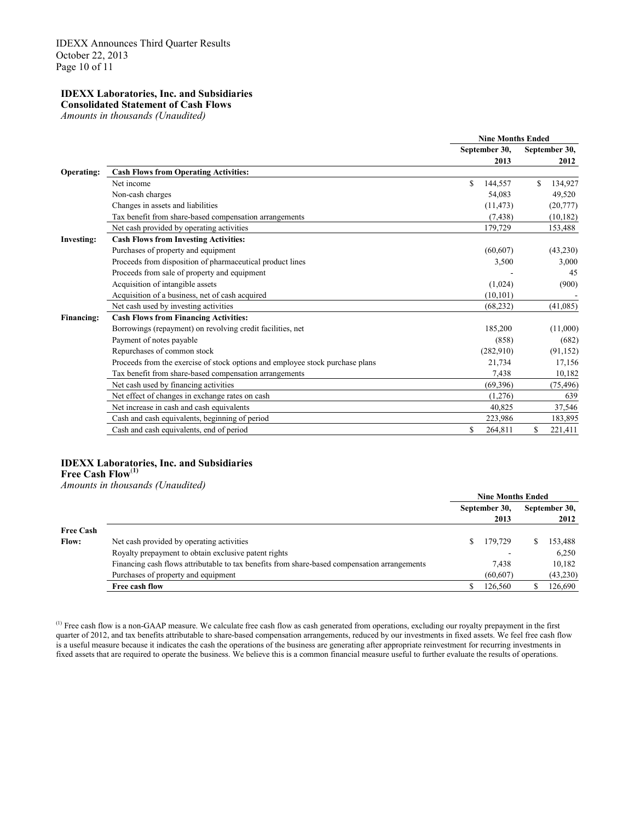#### **IDEXX Laboratories, Inc. and Subsidiaries Consolidated Statement of Cash Flows**

*Amounts in thousands (Unaudited)*

|                   |                                                                               | <b>Nine Months Ended</b><br>September 30,<br>September 30, |    |           |
|-------------------|-------------------------------------------------------------------------------|------------------------------------------------------------|----|-----------|
|                   |                                                                               |                                                            |    |           |
|                   |                                                                               | 2013                                                       |    | 2012      |
| Operating:        | <b>Cash Flows from Operating Activities:</b>                                  |                                                            |    |           |
|                   | Net income                                                                    | \$<br>144,557                                              | \$ | 134,927   |
|                   | Non-cash charges                                                              | 54,083                                                     |    | 49,520    |
|                   | Changes in assets and liabilities                                             | (11, 473)                                                  |    | (20, 777) |
|                   | Tax benefit from share-based compensation arrangements                        | (7, 438)                                                   |    | (10, 182) |
|                   | Net cash provided by operating activities                                     | 179,729                                                    |    | 153,488   |
| <b>Investing:</b> | <b>Cash Flows from Investing Activities:</b>                                  |                                                            |    |           |
|                   | Purchases of property and equipment                                           | (60, 607)                                                  |    | (43,230)  |
|                   | Proceeds from disposition of pharmaceutical product lines                     | 3,500                                                      |    | 3,000     |
|                   | Proceeds from sale of property and equipment                                  |                                                            |    | 45        |
|                   | Acquisition of intangible assets                                              | (1,024)                                                    |    | (900)     |
|                   | Acquisition of a business, net of cash acquired                               | (10, 101)                                                  |    |           |
|                   | Net cash used by investing activities                                         | (68, 232)                                                  |    | (41,085)  |
| <b>Financing:</b> | <b>Cash Flows from Financing Activities:</b>                                  |                                                            |    |           |
|                   | Borrowings (repayment) on revolving credit facilities, net                    | 185,200                                                    |    | (11,000)  |
|                   | Payment of notes payable                                                      | (858)                                                      |    | (682)     |
|                   | Repurchases of common stock                                                   | (282,910)                                                  |    | (91, 152) |
|                   | Proceeds from the exercise of stock options and employee stock purchase plans | 21,734                                                     |    | 17,156    |
|                   | Tax benefit from share-based compensation arrangements                        | 7,438                                                      |    | 10,182    |
|                   | Net cash used by financing activities                                         | (69,396)                                                   |    | (75, 496) |
|                   | Net effect of changes in exchange rates on cash                               | (1,276)                                                    |    | 639       |
|                   | Net increase in cash and cash equivalents                                     | 40,825                                                     |    | 37,546    |
|                   | Cash and cash equivalents, beginning of period                                | 223,986                                                    |    | 183,895   |
|                   | Cash and cash equivalents, end of period                                      | \$<br>264,811                                              | \$ | 221,411   |
|                   |                                                                               |                                                            |    |           |

### **IDEXX Laboratories, Inc. and Subsidiaries**

**Free Cash Flow**(**1)**

*Amounts in thousands (Unaudited)*

|                  |                                                                                              |    | <b>Nine Months Ended</b> |  |               |  |  |  |
|------------------|----------------------------------------------------------------------------------------------|----|--------------------------|--|---------------|--|--|--|
|                  |                                                                                              |    | September 30,            |  | September 30, |  |  |  |
|                  |                                                                                              |    | 2013                     |  | 2012          |  |  |  |
| <b>Free Cash</b> |                                                                                              |    |                          |  |               |  |  |  |
| <b>Flow:</b>     | Net cash provided by operating activities                                                    | S. | 179,729                  |  | 153,488       |  |  |  |
|                  | Royalty prepayment to obtain exclusive patent rights                                         |    | -                        |  | 6.250         |  |  |  |
|                  | Financing cash flows attributable to tax benefits from share-based compensation arrangements |    | 7.438                    |  | 10.182        |  |  |  |
|                  | Purchases of property and equipment                                                          |    | (60, 607)                |  | (43,230)      |  |  |  |
|                  | Free cash flow                                                                               |    | 126,560                  |  | 126,690       |  |  |  |

<sup>(1)</sup> Free cash flow is a non-GAAP measure. We calculate free cash flow as cash generated from operations, excluding our royalty prepayment in the first quarter of 2012, and tax benefits attributable to share-based compensation arrangements, reduced by our investments in fixed assets. We feel free cash flow is a useful measure because it indicates the cash the operations of the business are generating after appropriate reinvestment for recurring investments in fixed assets that are required to operate the business. We believe this is a common financial measure useful to further evaluate the results of operations.